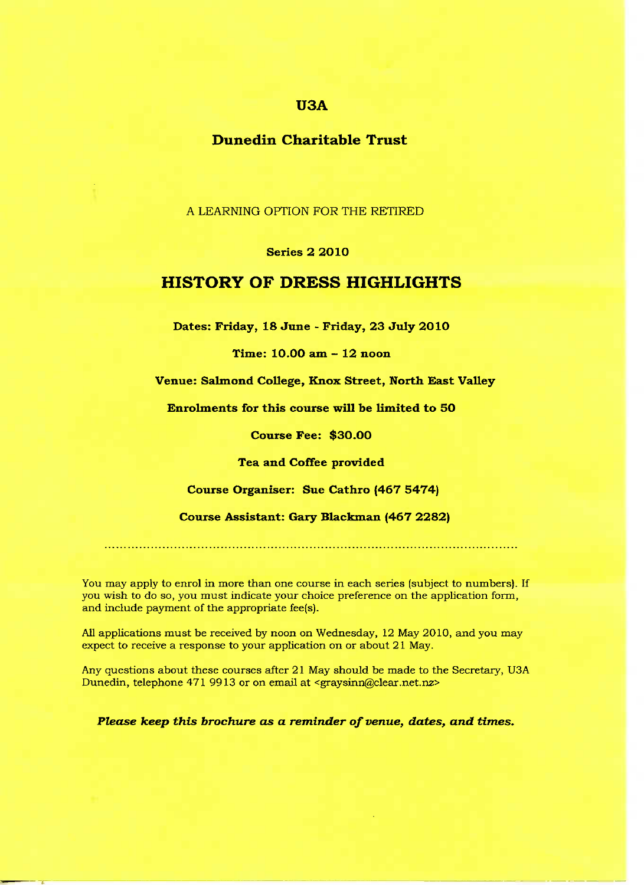# **USA**

## **Dune din Charitable Trust**

A LEARNING OPTION FOR THE RETIRED

#### Series 2 2O10

## **HISTORY OF DRESS HIGHLIGHTS**

**Dates: Friday, 18 June - Friday, 23 July 2O10**

**Time: 10.00 am - 12 noon**

**Venue: Salmond College, Knox Street, North East Valley**

**Enrolments for this course will be limited to 50**

**Course Fee: \$30.00**

**Tea and Coffee provided**

**Course Organiser: Sue Cathro (467 5474)**

**Course Assistant: Gary Blackman (467 2282)**

You may apply to enrol in more than one course in each series (subject to numbers). If you wish to do so, you must indicate your choice preference on the application form, and include payment of the appropriate fee(s).

All applications must be received by noon on Wednesday, 12 May 2010, and you may expect to receive a response to your application on or about 21 May.

Any questions about these courses after 21 May should be made to the Secretary, U3A Dunedin, telephone 471 9913 or on email at <graysinn@clear.net.nz>

*Please keep this brochure as a reminder of venue, dates, and times.*